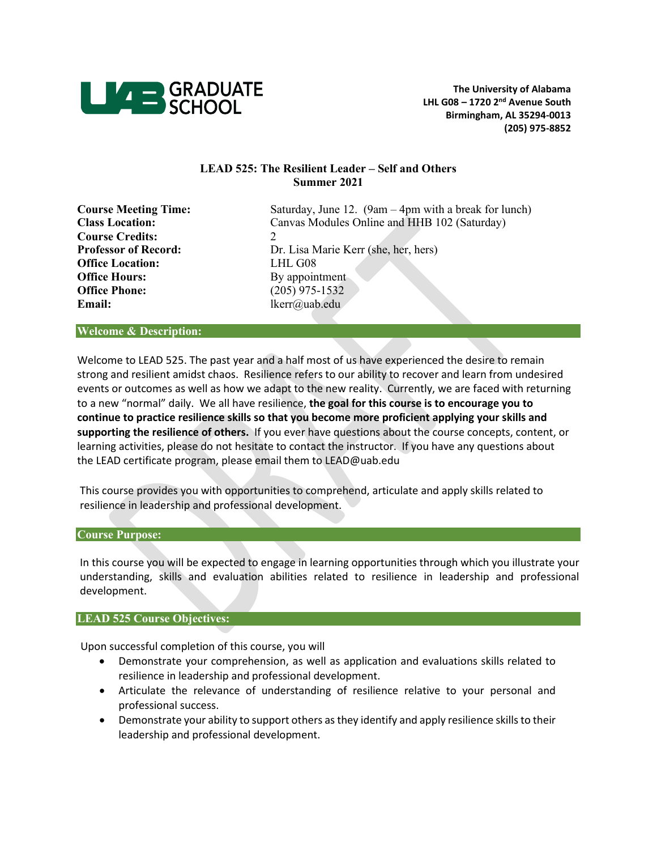

# **LEAD 525: The Resilient Leader – Self and Others Summer 2021**

| <b>Course Meeting Time:</b> | Saturday, June 12. $(9am - 4pm$ with a break for lunch) |
|-----------------------------|---------------------------------------------------------|
| <b>Class Location:</b>      | Canvas Modules Online and HHB 102 (Saturday)            |
| <b>Course Credits:</b>      |                                                         |
| <b>Professor of Record:</b> | Dr. Lisa Marie Kerr (she, her, hers)                    |
| <b>Office Location:</b>     | LHL G08                                                 |
| <b>Office Hours:</b>        | By appointment                                          |
| <b>Office Phone:</b>        | $(205)$ 975-1532                                        |
| Email:                      | lkerr@uab.edu                                           |

#### **Welcome & Description:**

Welcome to LEAD 525. The past year and a half most of us have experienced the desire to remain strong and resilient amidst chaos. Resilience refers to our ability to recover and learn from undesired events or outcomes as well as how we adapt to the new reality. Currently, we are faced with returning to a new "normal" daily. We all have resilience, **the goal for this course is to encourage you to continue to practice resilience skills so that you become more proficient applying your skills and supporting the resilience of others.** If you ever have questions about the course concepts, content, or learning activities, please do not hesitate to contact the instructor. If you have any questions about the LEAD certificate program, please email them to LEAD@uab.edu

This course provides you with opportunities to comprehend, articulate and apply skills related to resilience in leadership and professional development.

# **Course Purpose:**

In this course you will be expected to engage in learning opportunities through which you illustrate your understanding, skills and evaluation abilities related to resilience in leadership and professional development.

# **LEAD 525 Course Objectives:**

Upon successful completion of this course, you will

- Demonstrate your comprehension, as well as application and evaluations skills related to resilience in leadership and professional development.
- Articulate the relevance of understanding of resilience relative to your personal and professional success.
- Demonstrate your ability to support others as they identify and apply resilience skills to their leadership and professional development.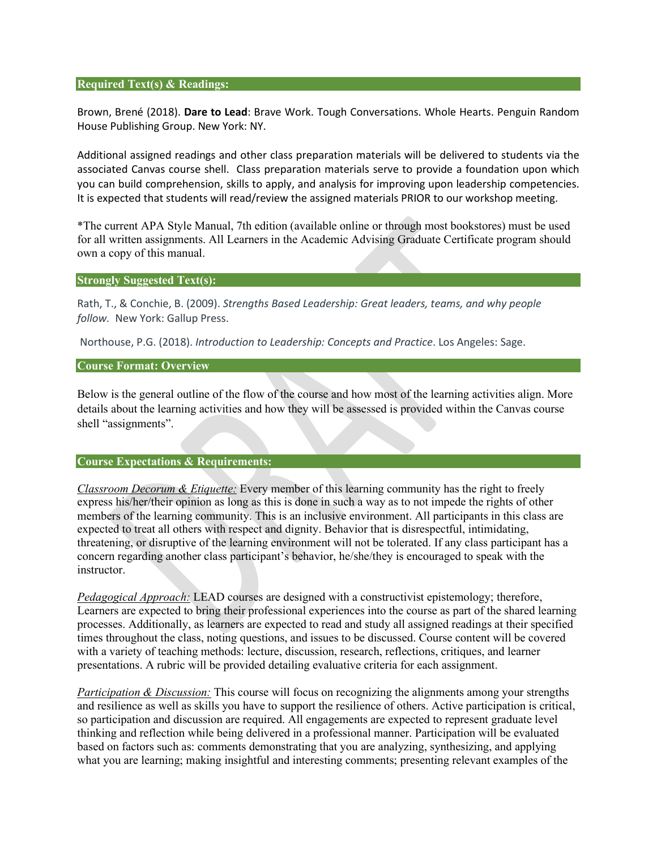## **Required Text(s) & Readings:**

Brown, Brené (2018). **Dare to Lead**: Brave Work. Tough Conversations. Whole Hearts. Penguin Random House Publishing Group. New York: NY.

Additional assigned readings and other class preparation materials will be delivered to students via the associated Canvas course shell. Class preparation materials serve to provide a foundation upon which you can build comprehension, skills to apply, and analysis for improving upon leadership competencies. It is expected that students will read/review the assigned materials PRIOR to our workshop meeting.

\*The current APA Style Manual, 7th edition (available online or through most bookstores) must be used for all written assignments. All Learners in the Academic Advising Graduate Certificate program should own a copy of this manual.

#### **Strongly Suggested Text(s):**

Rath, T., & Conchie, B. (2009). *Strengths Based Leadership: Great leaders, teams, and why people follow.* New York: Gallup Press.

Northouse, P.G. (2018). *Introduction to Leadership: Concepts and Practice*. Los Angeles: Sage.

## **Course Format: Overview**

Below is the general outline of the flow of the course and how most of the learning activities align. More details about the learning activities and how they will be assessed is provided within the Canvas course shell "assignments".

# **Course Expectations & Requirements:**

*Classroom Decorum & Etiquette:* Every member of this learning community has the right to freely express his/her/their opinion as long as this is done in such a way as to not impede the rights of other members of the learning community. This is an inclusive environment. All participants in this class are expected to treat all others with respect and dignity. Behavior that is disrespectful, intimidating, threatening, or disruptive of the learning environment will not be tolerated. If any class participant has a concern regarding another class participant's behavior, he/she/they is encouraged to speak with the instructor.

*Pedagogical Approach:* LEAD courses are designed with a constructivist epistemology; therefore, Learners are expected to bring their professional experiences into the course as part of the shared learning processes. Additionally, as learners are expected to read and study all assigned readings at their specified times throughout the class, noting questions, and issues to be discussed. Course content will be covered with a variety of teaching methods: lecture, discussion, research, reflections, critiques, and learner presentations. A rubric will be provided detailing evaluative criteria for each assignment.

*Participation & Discussion:* This course will focus on recognizing the alignments among your strengths and resilience as well as skills you have to support the resilience of others. Active participation is critical, so participation and discussion are required. All engagements are expected to represent graduate level thinking and reflection while being delivered in a professional manner. Participation will be evaluated based on factors such as: comments demonstrating that you are analyzing, synthesizing, and applying what you are learning; making insightful and interesting comments; presenting relevant examples of the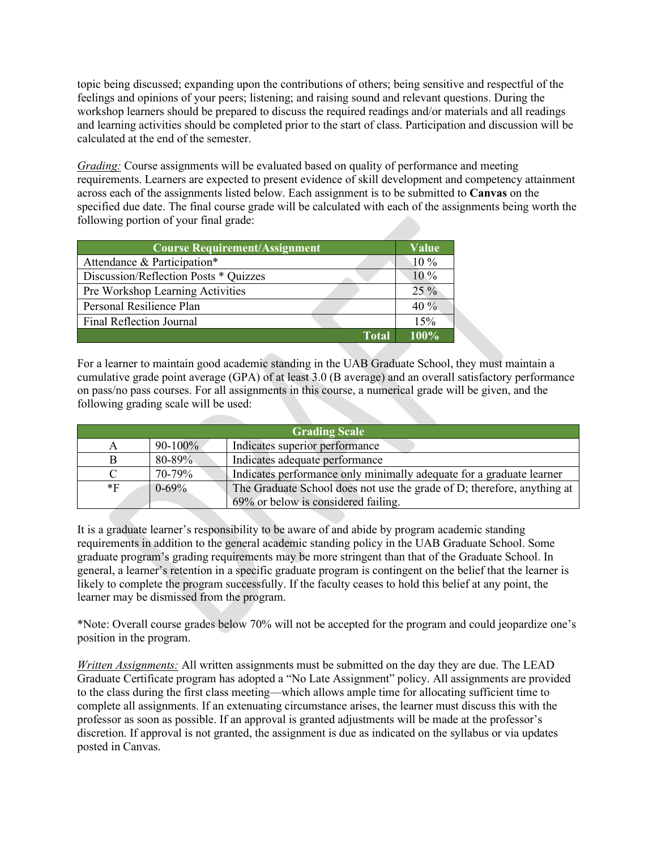topic being discussed; expanding upon the contributions of others; being sensitive and respectful of the feelings and opinions of your peers; listening; and raising sound and relevant questions. During the workshop learners should be prepared to discuss the required readings and/or materials and all readings and learning activities should be completed prior to the start of class. Participation and discussion will be calculated at the end of the semester.

*Grading:* Course assignments will be evaluated based on quality of performance and meeting requirements. Learners are expected to present evidence of skill development and competency attainment across each of the assignments listed below. Each assignment is to be submitted to **Canvas** on the specified due date. The final course grade will be calculated with each of the assignments being worth the following portion of your final grade:

| <b>Course Requirement/Assignment</b>  | Value   |
|---------------------------------------|---------|
| Attendance & Participation*           | 10 %    |
| Discussion/Reflection Posts * Quizzes | $10\%$  |
| Pre Workshop Learning Activities      | $25\%$  |
| Personal Resilience Plan              | $40\%$  |
| Final Reflection Journal              | 15%     |
| Total                                 | $100\%$ |

For a learner to maintain good academic standing in the UAB Graduate School, they must maintain a cumulative grade point average (GPA) of at least 3.0 (B average) and an overall satisfactory performance on pass/no pass courses. For all assignments in this course, a numerical grade will be given, and the following grading scale will be used:

| <b>Grading Scale</b> |              |                                                                         |  |
|----------------------|--------------|-------------------------------------------------------------------------|--|
| A                    | $90 - 100\%$ | Indicates superior performance                                          |  |
|                      | 80-89%       | Indicates adequate performance                                          |  |
|                      | 70-79%       | Indicates performance only minimally adequate for a graduate learner    |  |
| $*_{\rm F}$          | $0 - 69\%$   | The Graduate School does not use the grade of D; therefore, anything at |  |
|                      |              | 69% or below is considered failing.                                     |  |

It is a graduate learner's responsibility to be aware of and abide by program academic standing requirements in addition to the general academic standing policy in the UAB Graduate School. Some graduate program's grading requirements may be more stringent than that of the Graduate School. In general, a learner's retention in a specific graduate program is contingent on the belief that the learner is likely to complete the program successfully. If the faculty ceases to hold this belief at any point, the learner may be dismissed from the program.

\*Note: Overall course grades below 70% will not be accepted for the program and could jeopardize one's position in the program.

*Written Assignments:* All written assignments must be submitted on the day they are due. The LEAD Graduate Certificate program has adopted a "No Late Assignment" policy. All assignments are provided to the class during the first class meeting—which allows ample time for allocating sufficient time to complete all assignments. If an extenuating circumstance arises, the learner must discuss this with the professor as soon as possible. If an approval is granted adjustments will be made at the professor's discretion. If approval is not granted, the assignment is due as indicated on the syllabus or via updates posted in Canvas.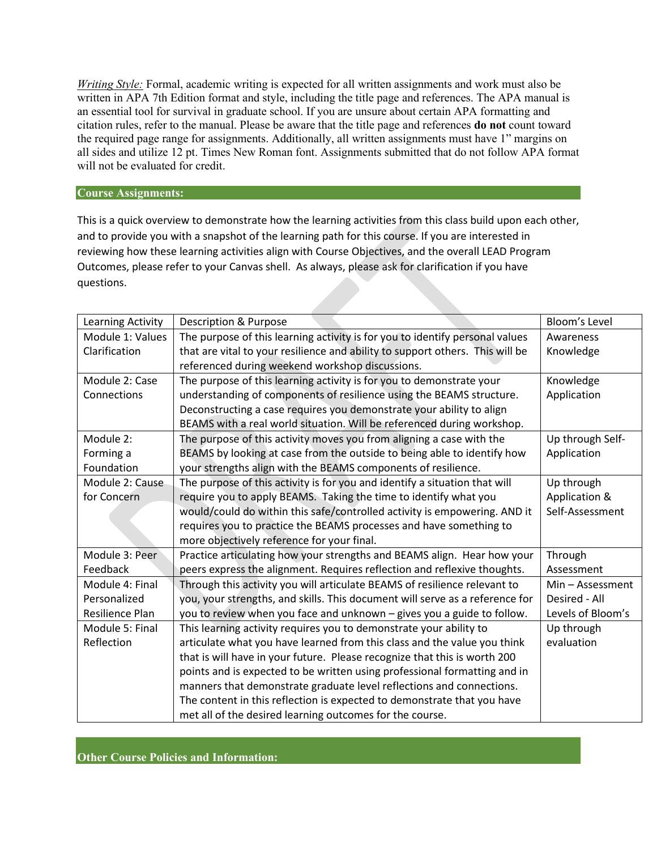*Writing Style:* Formal, academic writing is expected for all written assignments and work must also be written in APA 7th Edition format and style, including the title page and references. The APA manual is an essential tool for survival in graduate school. If you are unsure about certain APA formatting and citation rules, refer to the manual. Please be aware that the title page and references **do not** count toward the required page range for assignments. Additionally, all written assignments must have 1" margins on all sides and utilize 12 pt. Times New Roman font. Assignments submitted that do not follow APA format will not be evaluated for credit.

## **Course Assignments:**

This is a quick overview to demonstrate how the learning activities from this class build upon each other, and to provide you with a snapshot of the learning path for this course. If you are interested in reviewing how these learning activities align with Course Objectives, and the overall LEAD Program Outcomes, please refer to your Canvas shell. As always, please ask for clarification if you have questions.

| Learning Activity | <b>Description &amp; Purpose</b>                                              | Bloom's Level     |
|-------------------|-------------------------------------------------------------------------------|-------------------|
| Module 1: Values  | The purpose of this learning activity is for you to identify personal values  | Awareness         |
| Clarification     | that are vital to your resilience and ability to support others. This will be | Knowledge         |
|                   | referenced during weekend workshop discussions.                               |                   |
| Module 2: Case    | The purpose of this learning activity is for you to demonstrate your          | Knowledge         |
| Connections       | understanding of components of resilience using the BEAMS structure.          | Application       |
|                   | Deconstructing a case requires you demonstrate your ability to align          |                   |
|                   | BEAMS with a real world situation. Will be referenced during workshop.        |                   |
| Module 2:         | The purpose of this activity moves you from aligning a case with the          | Up through Self-  |
| Forming a         | BEAMS by looking at case from the outside to being able to identify how       | Application       |
| Foundation        | your strengths align with the BEAMS components of resilience.                 |                   |
| Module 2: Cause   | The purpose of this activity is for you and identify a situation that will    | Up through        |
| for Concern       | require you to apply BEAMS. Taking the time to identify what you              | Application &     |
|                   | would/could do within this safe/controlled activity is empowering. AND it     | Self-Assessment   |
|                   | requires you to practice the BEAMS processes and have something to            |                   |
|                   | more objectively reference for your final.                                    |                   |
| Module 3: Peer    | Practice articulating how your strengths and BEAMS align. Hear how your       | Through           |
| Feedback          | peers express the alignment. Requires reflection and reflexive thoughts.      | Assessment        |
| Module 4: Final   | Through this activity you will articulate BEAMS of resilience relevant to     | Min-Assessment    |
| Personalized      | you, your strengths, and skills. This document will serve as a reference for  | Desired - All     |
| Resilience Plan   | you to review when you face and unknown - gives you a guide to follow.        | Levels of Bloom's |
| Module 5: Final   | This learning activity requires you to demonstrate your ability to            | Up through        |
| Reflection        | articulate what you have learned from this class and the value you think      | evaluation        |
|                   | that is will have in your future. Please recognize that this is worth 200     |                   |
|                   | points and is expected to be written using professional formatting and in     |                   |
|                   | manners that demonstrate graduate level reflections and connections.          |                   |
|                   | The content in this reflection is expected to demonstrate that you have       |                   |
|                   | met all of the desired learning outcomes for the course.                      |                   |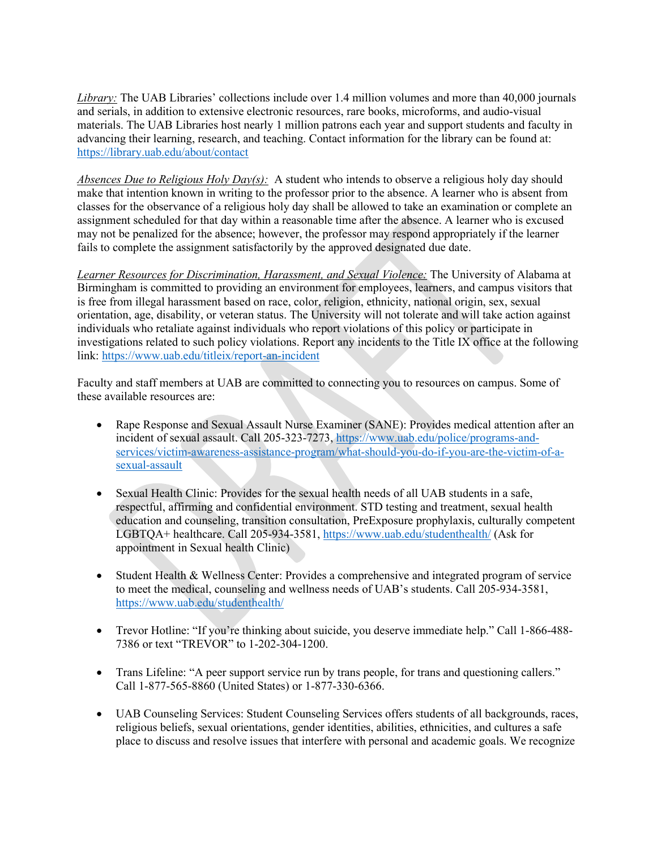*Library:* The UAB Libraries' collections include over 1.4 million volumes and more than 40,000 journals and serials, in addition to extensive electronic resources, rare books, microforms, and audio-visual materials. The UAB Libraries host nearly 1 million patrons each year and support students and faculty in advancing their learning, research, and teaching. Contact information for the library can be found at: <https://library.uab.edu/about/contact>

*Absences Due to Religious Holy Day(s):* A student who intends to observe a religious holy day should make that intention known in writing to the professor prior to the absence. A learner who is absent from classes for the observance of a religious holy day shall be allowed to take an examination or complete an assignment scheduled for that day within a reasonable time after the absence. A learner who is excused may not be penalized for the absence; however, the professor may respond appropriately if the learner fails to complete the assignment satisfactorily by the approved designated due date.

*Learner Resources for Discrimination, Harassment, and Sexual Violence:* The University of Alabama at Birmingham is committed to providing an environment for employees, learners, and campus visitors that is free from illegal harassment based on race, color, religion, ethnicity, national origin, sex, sexual orientation, age, disability, or veteran status. The University will not tolerate and will take action against individuals who retaliate against individuals who report violations of this policy or participate in investigations related to such policy violations. Report any incidents to the Title IX office at the following link:<https://www.uab.edu/titleix/report-an-incident>

Faculty and staff members at UAB are committed to connecting you to resources on campus. Some of these available resources are:

- Rape Response and Sexual Assault Nurse Examiner (SANE): Provides medical attention after an incident of sexual assault. Call 205-323-7273, [https://www.uab.edu/police/programs-and](https://www.uab.edu/police/programs-and-services/victim-awareness-assistance-program/what-should-you-do-if-you-are-the-victim-of-a-sexual-assault)[services/victim-awareness-assistance-program/what-should-you-do-if-you-are-the-victim-of-a](https://www.uab.edu/police/programs-and-services/victim-awareness-assistance-program/what-should-you-do-if-you-are-the-victim-of-a-sexual-assault)[sexual-assault](https://www.uab.edu/police/programs-and-services/victim-awareness-assistance-program/what-should-you-do-if-you-are-the-victim-of-a-sexual-assault)
- Sexual Health Clinic: Provides for the sexual health needs of all UAB students in a safe, respectful, affirming and confidential environment. STD testing and treatment, sexual health education and counseling, transition consultation, PreExposure prophylaxis, culturally competent LGBTQA+ healthcare. Call 205-934-3581,<https://www.uab.edu/studenthealth/> (Ask for appointment in Sexual health Clinic)
- Student Health & Wellness Center: Provides a comprehensive and integrated program of service to meet the medical, counseling and wellness needs of UAB's students. Call 205-934-3581, <https://www.uab.edu/studenthealth/>
- Trevor Hotline: "If you're thinking about suicide, you deserve immediate help." Call 1-866-488-7386 or text "TREVOR" to 1-202-304-1200.
- Trans Lifeline: "A peer support service run by trans people, for trans and questioning callers." Call 1-877-565-8860 (United States) or 1-877-330-6366.
- UAB Counseling Services: Student Counseling Services offers students of all backgrounds, races, religious beliefs, sexual orientations, gender identities, abilities, ethnicities, and cultures a safe place to discuss and resolve issues that interfere with personal and academic goals. We recognize